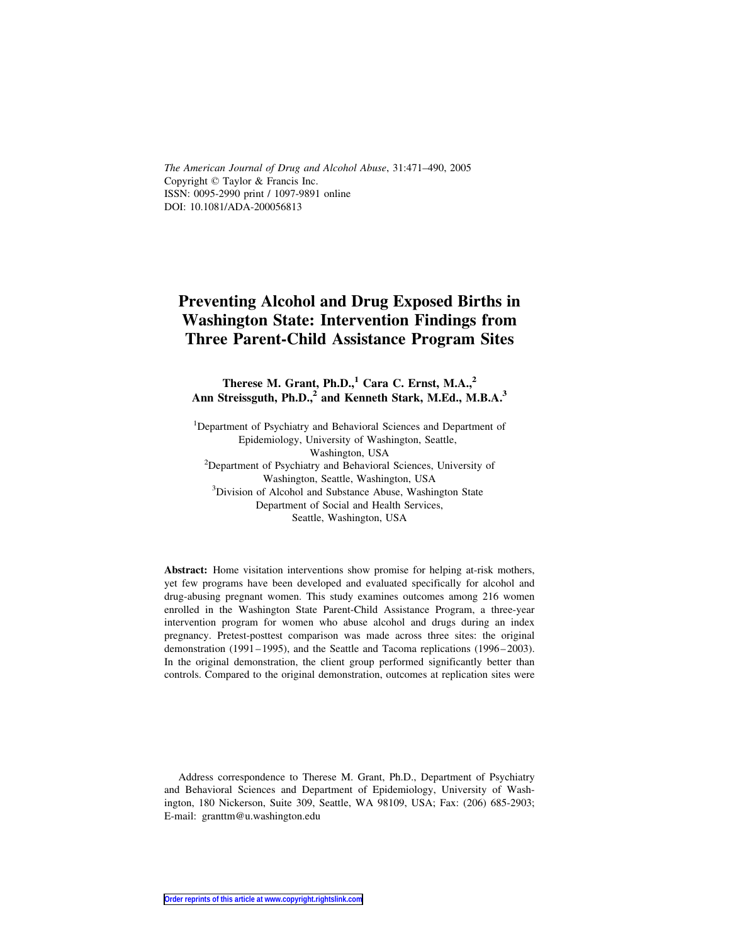The American Journal of Drug and Alcohol Abuse, 31:471–490, 2005 Copyright  $\odot$  Taylor & Francis Inc. ISSN: 0095-2990 print / 1097-9891 online DOI: 10.1081/ADA-200056813

# Preventing Alcohol and Drug Exposed Births in Washington State: Intervention Findings from Three Parent-Child Assistance Program Sites

Therese M. Grant, Ph.D., $1$  Cara C. Ernst, M.A., $2$ Ann Streissguth, Ph.D.,<sup>2</sup> and Kenneth Stark, M.Ed., M.B.A.<sup>3</sup>

<sup>1</sup>Department of Psychiatry and Behavioral Sciences and Department of Epidemiology, University of Washington, Seattle, Washington, USA<br><sup>2</sup>Department of Psychiatry and Behavioral Sciences, University of Washington, Seattle, Washington, USA <sup>3</sup> <sup>3</sup>Division of Alcohol and Substance Abuse, Washington State Department of Social and Health Services, Seattle, Washington, USA

Abstract: Home visitation interventions show promise for helping at-risk mothers, yet few programs have been developed and evaluated specifically for alcohol and drug-abusing pregnant women. This study examines outcomes among 216 women enrolled in the Washington State Parent-Child Assistance Program, a three-year intervention program for women who abuse alcohol and drugs during an index pregnancy. Pretest-posttest comparison was made across three sites: the original demonstration (1991–1995), and the Seattle and Tacoma replications (1996–2003). In the original demonstration, the client group performed significantly better than controls. Compared to the original demonstration, outcomes at replication sites were

Address correspondence to Therese M. Grant, Ph.D., Department of Psychiatry and Behavioral Sciences and Department of Epidemiology, University of Washington, 180 Nickerson, Suite 309, Seattle, WA 98109, USA; Fax: (206) 685-2903; E-mail: granttm@u.washington.edu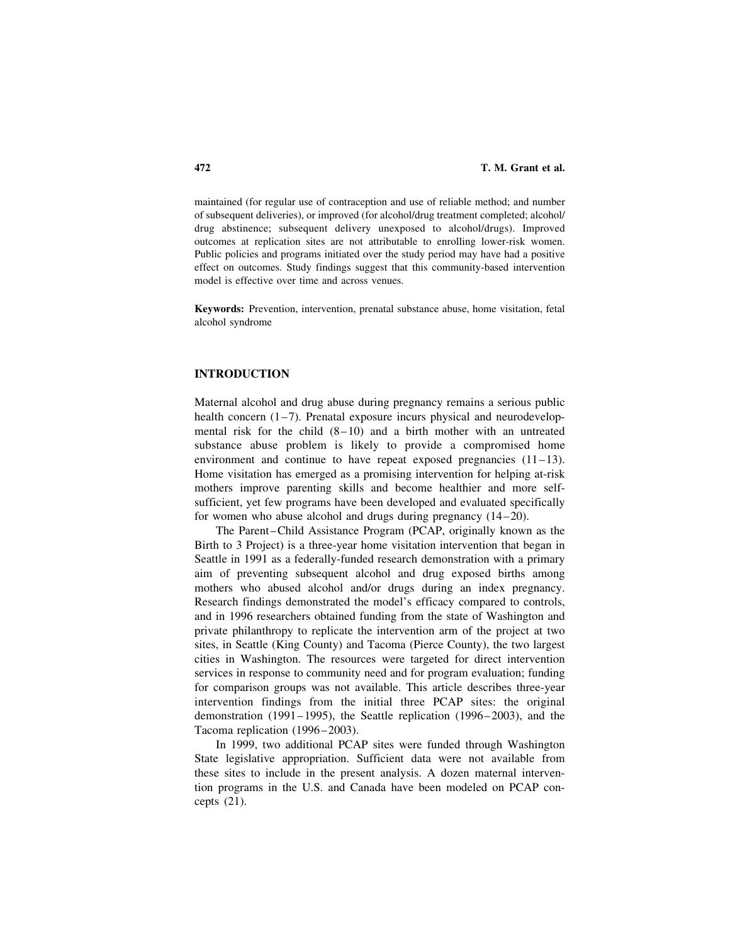maintained (for regular use of contraception and use of reliable method; and number of subsequent deliveries), or improved (for alcohol/drug treatment completed; alcohol/ drug abstinence; subsequent delivery unexposed to alcohol/drugs). Improved outcomes at replication sites are not attributable to enrolling lower-risk women. Public policies and programs initiated over the study period may have had a positive effect on outcomes. Study findings suggest that this community-based intervention model is effective over time and across venues.

Keywords: Prevention, intervention, prenatal substance abuse, home visitation, fetal alcohol syndrome

## INTRODUCTION

Maternal alcohol and drug abuse during pregnancy remains a serious public health concern (1–7). Prenatal exposure incurs physical and neurodevelopmental risk for the child  $(8-10)$  and a birth mother with an untreated substance abuse problem is likely to provide a compromised home environment and continue to have repeat exposed pregnancies  $(11-13)$ . Home visitation has emerged as a promising intervention for helping at-risk mothers improve parenting skills and become healthier and more selfsufficient, yet few programs have been developed and evaluated specifically for women who abuse alcohol and drugs during pregnancy (14–20).

The Parent–Child Assistance Program (PCAP, originally known as the Birth to 3 Project) is a three-year home visitation intervention that began in Seattle in 1991 as a federally-funded research demonstration with a primary aim of preventing subsequent alcohol and drug exposed births among mothers who abused alcohol and/or drugs during an index pregnancy. Research findings demonstrated the model's efficacy compared to controls, and in 1996 researchers obtained funding from the state of Washington and private philanthropy to replicate the intervention arm of the project at two sites, in Seattle (King County) and Tacoma (Pierce County), the two largest cities in Washington. The resources were targeted for direct intervention services in response to community need and for program evaluation; funding for comparison groups was not available. This article describes three-year intervention findings from the initial three PCAP sites: the original demonstration (1991–1995), the Seattle replication (1996–2003), and the Tacoma replication (1996–2003).

In 1999, two additional PCAP sites were funded through Washington State legislative appropriation. Sufficient data were not available from these sites to include in the present analysis. A dozen maternal intervention programs in the U.S. and Canada have been modeled on PCAP concepts (21).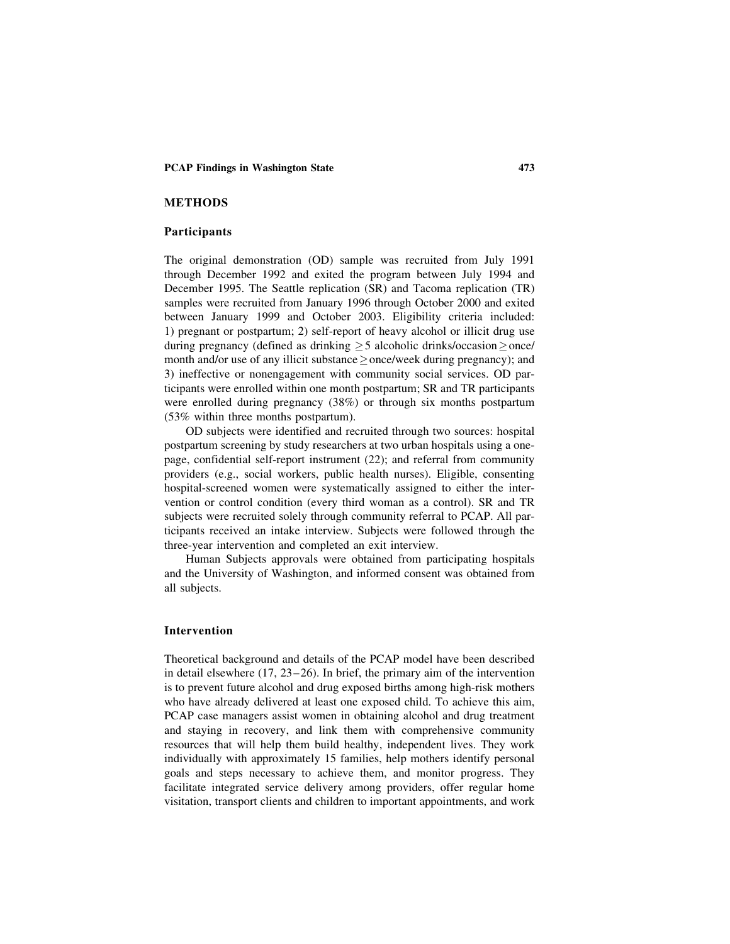## METHODS

#### Participants

The original demonstration (OD) sample was recruited from July 1991 through December 1992 and exited the program between July 1994 and December 1995. The Seattle replication (SR) and Tacoma replication (TR) samples were recruited from January 1996 through October 2000 and exited between January 1999 and October 2003. Eligibility criteria included: 1) pregnant or postpartum; 2) self-report of heavy alcohol or illicit drug use during pregnancy (defined as drinking  $>$  5 alcoholic drinks/occasion $>$ once/ month and/or use of any illicit substance  $\geq$  once/week during pregnancy); and 3) ineffective or nonengagement with community social services. OD participants were enrolled within one month postpartum; SR and TR participants were enrolled during pregnancy (38%) or through six months postpartum (53% within three months postpartum).

OD subjects were identified and recruited through two sources: hospital postpartum screening by study researchers at two urban hospitals using a onepage, confidential self-report instrument (22); and referral from community providers (e.g., social workers, public health nurses). Eligible, consenting hospital-screened women were systematically assigned to either the intervention or control condition (every third woman as a control). SR and TR subjects were recruited solely through community referral to PCAP. All participants received an intake interview. Subjects were followed through the three-year intervention and completed an exit interview.

Human Subjects approvals were obtained from participating hospitals and the University of Washington, and informed consent was obtained from all subjects.

#### Intervention

Theoretical background and details of the PCAP model have been described in detail elsewhere (17, 23–26). In brief, the primary aim of the intervention is to prevent future alcohol and drug exposed births among high-risk mothers who have already delivered at least one exposed child. To achieve this aim, PCAP case managers assist women in obtaining alcohol and drug treatment and staying in recovery, and link them with comprehensive community resources that will help them build healthy, independent lives. They work individually with approximately 15 families, help mothers identify personal goals and steps necessary to achieve them, and monitor progress. They facilitate integrated service delivery among providers, offer regular home visitation, transport clients and children to important appointments, and work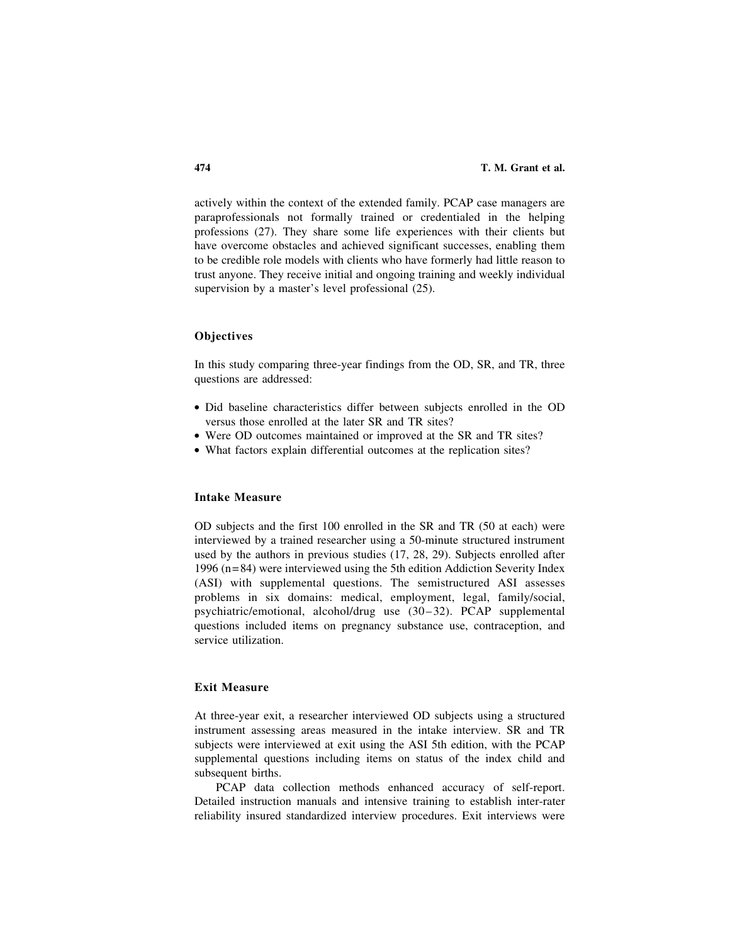actively within the context of the extended family. PCAP case managers are paraprofessionals not formally trained or credentialed in the helping professions (27). They share some life experiences with their clients but have overcome obstacles and achieved significant successes, enabling them to be credible role models with clients who have formerly had little reason to trust anyone. They receive initial and ongoing training and weekly individual supervision by a master's level professional (25).

## **Objectives**

In this study comparing three-year findings from the OD, SR, and TR, three questions are addressed:

- . Did baseline characteristics differ between subjects enrolled in the OD versus those enrolled at the later SR and TR sites?
- . Were OD outcomes maintained or improved at the SR and TR sites?
- . What factors explain differential outcomes at the replication sites?

# Intake Measure

OD subjects and the first 100 enrolled in the SR and TR (50 at each) were interviewed by a trained researcher using a 50-minute structured instrument used by the authors in previous studies (17, 28, 29). Subjects enrolled after 1996 (n=84) were interviewed using the 5th edition Addiction Severity Index (ASI) with supplemental questions. The semistructured ASI assesses problems in six domains: medical, employment, legal, family/social, psychiatric/emotional, alcohol/drug use (30–32). PCAP supplemental questions included items on pregnancy substance use, contraception, and service utilization.

# Exit Measure

At three-year exit, a researcher interviewed OD subjects using a structured instrument assessing areas measured in the intake interview. SR and TR subjects were interviewed at exit using the ASI 5th edition, with the PCAP supplemental questions including items on status of the index child and subsequent births.

PCAP data collection methods enhanced accuracy of self-report. Detailed instruction manuals and intensive training to establish inter-rater reliability insured standardized interview procedures. Exit interviews were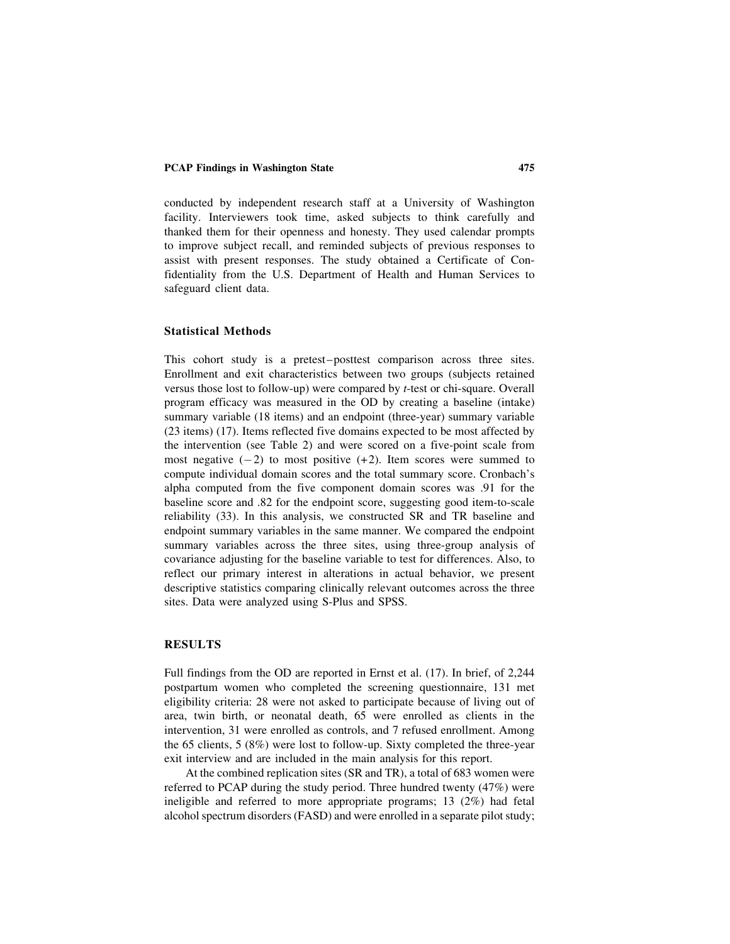conducted by independent research staff at a University of Washington facility. Interviewers took time, asked subjects to think carefully and thanked them for their openness and honesty. They used calendar prompts to improve subject recall, and reminded subjects of previous responses to assist with present responses. The study obtained a Certificate of Confidentiality from the U.S. Department of Health and Human Services to safeguard client data.

## Statistical Methods

This cohort study is a pretest–posttest comparison across three sites. Enrollment and exit characteristics between two groups (subjects retained versus those lost to follow-up) were compared by t-test or chi-square. Overall program efficacy was measured in the OD by creating a baseline (intake) summary variable (18 items) and an endpoint (three-year) summary variable (23 items) (17). Items reflected five domains expected to be most affected by the intervention (see Table 2) and were scored on a five-point scale from most negative  $(-2)$  to most positive  $(+2)$ . Item scores were summed to compute individual domain scores and the total summary score. Cronbach's alpha computed from the five component domain scores was .91 for the baseline score and .82 for the endpoint score, suggesting good item-to-scale reliability (33). In this analysis, we constructed SR and TR baseline and endpoint summary variables in the same manner. We compared the endpoint summary variables across the three sites, using three-group analysis of covariance adjusting for the baseline variable to test for differences. Also, to reflect our primary interest in alterations in actual behavior, we present descriptive statistics comparing clinically relevant outcomes across the three sites. Data were analyzed using S-Plus and SPSS.

#### RESULTS

Full findings from the OD are reported in Ernst et al. (17). In brief, of 2,244 postpartum women who completed the screening questionnaire, 131 met eligibility criteria: 28 were not asked to participate because of living out of area, twin birth, or neonatal death, 65 were enrolled as clients in the intervention, 31 were enrolled as controls, and 7 refused enrollment. Among the 65 clients, 5 (8%) were lost to follow-up. Sixty completed the three-year exit interview and are included in the main analysis for this report.

At the combined replication sites (SR and TR), a total of 683 women were referred to PCAP during the study period. Three hundred twenty (47%) were ineligible and referred to more appropriate programs; 13 (2%) had fetal alcohol spectrum disorders (FASD) and were enrolled in a separate pilot study;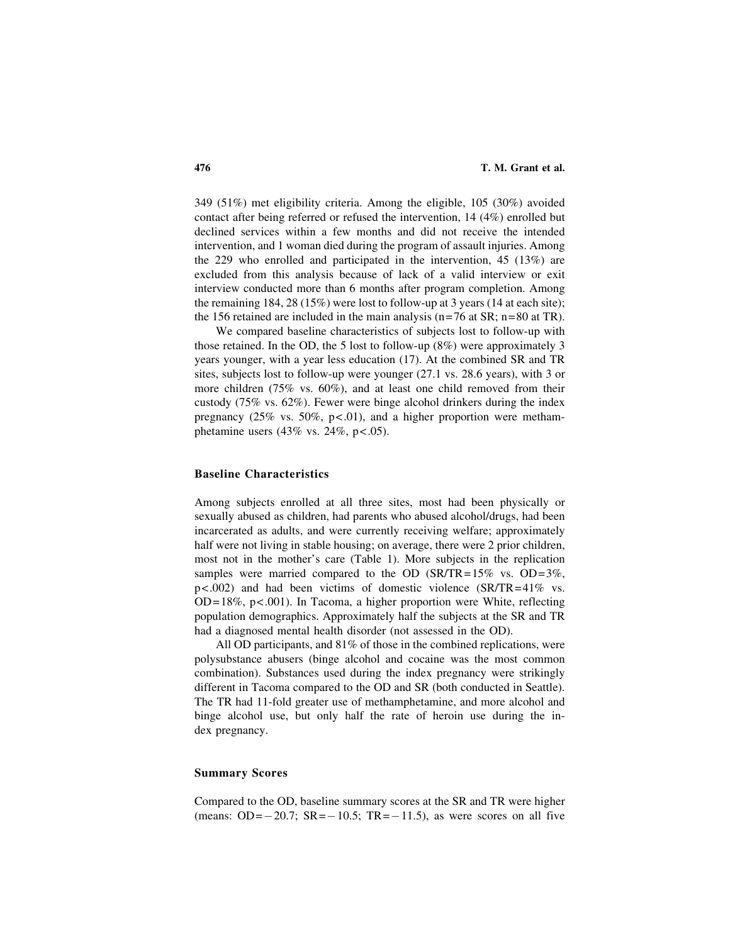349 (51%) met eligibility criteria. Among the eligible, 105 (30%) avoided contact after being referred or refused the intervention, 14 (4%) enrolled but declined services within a few months and did not receive the intended intervention, and 1 woman died during the program of assault injuries. Among the 229 who enrolled and participated in the intervention, 45 (13%) are excluded from this analysis because of lack of a valid interview or exit interview conducted more than 6 months after program completion. Among the remaining 184, 28 (15%) were lost to follow-up at 3 years (14 at each site); the 156 retained are included in the main analysis ( $n=76$  at SR;  $n=80$  at TR).

We compared baseline characteristics of subjects lost to follow-up with those retained. In the OD, the 5 lost to follow-up (8%) were approximately 3 years younger, with a year less education (17). At the combined SR and TR sites, subjects lost to follow-up were younger (27.1 vs. 28.6 years), with 3 or more children (75% vs. 60%), and at least one child removed from their custody (75% vs. 62%). Fewer were binge alcohol drinkers during the index pregnancy  $(25\% \text{ vs. } 50\%, \text{ p} < .01)$ , and a higher proportion were methamphetamine users  $(43\% \text{ vs. } 24\%, \text{ p} < .05)$ .

## Baseline Characteristics

Among subjects enrolled at all three sites, most had been physically or sexually abused as children, had parents who abused alcohol/drugs, had been incarcerated as adults, and were currently receiving welfare; approximately half were not living in stable housing; on average, there were 2 prior children, most not in the mother's care (Table 1). More subjects in the replication samples were married compared to the OD (SR/TR=15% vs. OD=3%, p<.002) and had been victims of domestic violence (SR/TR=41% vs. OD=18%, p<.001). In Tacoma, a higher proportion were White, reflecting population demographics. Approximately half the subjects at the SR and TR had a diagnosed mental health disorder (not assessed in the OD).

All OD participants, and 81% of those in the combined replications, were polysubstance abusers (binge alcohol and cocaine was the most common combination). Substances used during the index pregnancy were strikingly different in Tacoma compared to the OD and SR (both conducted in Seattle). The TR had 11-fold greater use of methamphetamine, and more alcohol and binge alcohol use, but only half the rate of heroin use during the index pregnancy.

## Summary Scores

Compared to the OD, baseline summary scores at the SR and TR were higher (means:  $OD = -20.7$ ;  $SR = -10.5$ ;  $TR = -11.5$ ), as were scores on all five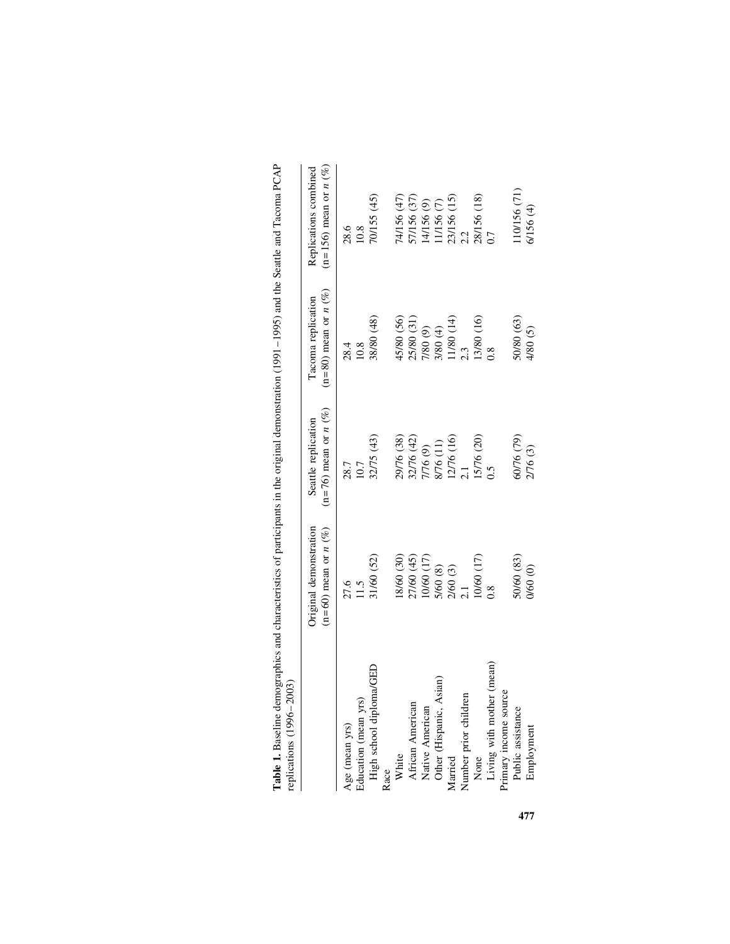| replications (1996-2003)    |                                                   |                                                  |                                                    |                                                   |
|-----------------------------|---------------------------------------------------|--------------------------------------------------|----------------------------------------------------|---------------------------------------------------|
|                             | $(n=60)$ mean or $n(%)$<br>Original demonstration | ( $n=76$ ) mean or $n(%)$<br>Seattle replication | ( $n = 80$ ) mean or $n$ (%)<br>Tacoma replication | $(n=156)$ mean or $n(%)$<br>Replications combined |
| Age (mean yrs)              | 27.6                                              | 28.7                                             | 28.4                                               | 28.6<br>10.8                                      |
| Education (mean yrs)        | 1.5                                               | 10.7                                             | 10.8                                               |                                                   |
| High school diploma/GED     | 31/60 (52)                                        | 32/75 (43)                                       | 88/80 (48)                                         | 70/155 (45)                                       |
| Race                        |                                                   |                                                  |                                                    |                                                   |
| White                       | 18/60 (30)                                        | 29/76 (38)                                       | 45/80 (56)                                         | 74/156 (47)                                       |
| African American            | 27/60 (45)                                        | 32/76 (42)                                       | 25/80 (31)                                         |                                                   |
| Native American             | 10/60 (17)                                        | $\frac{7}{76}$ (9)<br>8/76 (11)                  | $7/80(9)$<br>$3/80(4)$                             | 57/156 (37)<br>14/156 (9)                         |
| sian)<br>Other (Hispanic, A |                                                   |                                                  |                                                    | (7) 951/11                                        |
| Married                     | $\frac{5}{60}$ (8)<br>$\frac{2}{60}$ (3)<br>2.1   | $12/76(16)$<br>2.1                               | (1/80)(14)                                         | $23/156$ (15)<br>$2.2$                            |
| Number prior children       |                                                   |                                                  | 2.3                                                |                                                   |
| None                        | 10/60 (17)                                        | 15/76 (20)                                       | 13/80 (16)                                         | $\frac{28/156}{0.7}$ (18)                         |
| Living with mother (mean)   | $^{0.8}$                                          | $\ddot{5}$                                       | $\frac{8}{2}$                                      |                                                   |
| Primary income source       |                                                   |                                                  |                                                    |                                                   |
| Public assistance           | 50/60 (83)                                        | 60/76 (79)                                       | 50/80 (63)                                         | (10/156(71)                                       |
| Employment                  | 0/60 (0)                                          | 2/76 (3)                                         | 4/80 (5)                                           | 6/156 (4)                                         |
|                             |                                                   |                                                  |                                                    |                                                   |

Table 1. Baseline demographics and characteristics of participants in the original demonstration (1991-1995) and the Seattle and Tacoma PCAP Table 1. Baseline demographics and characteristics of participants in the original demonstration (1991–1995) and the Seattle and Tacoma PCAP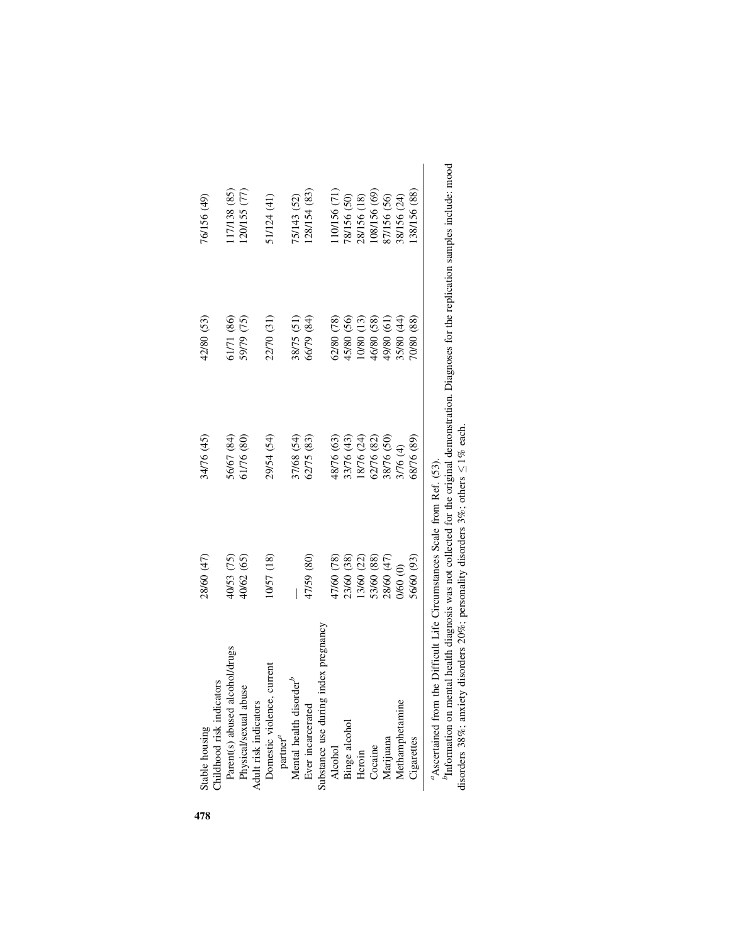| Childhood risk indicators<br>Stable housing | 28/60 (47)                                             | 34/76 (45) | 42/80 (53) | 76/156 (49)       |
|---------------------------------------------|--------------------------------------------------------|------------|------------|-------------------|
| Parent(s) abused alcohol/drugs              | 40/53 (75)                                             | 56/67 (84) | 51/71 (86) | 17/138 (85)       |
| Physical/sexual abuse                       | 40/62 (65)                                             | 61/76 (80) | 59/79 (75) | $(20/155)$ $(77)$ |
| Adult risk indicators                       |                                                        |            |            |                   |
| current<br>Domestic violence,               | (81) 4201                                              | 29/54 (54) | 22/70 (31) | 1/124 (41)        |
| partner $^a$                                |                                                        |            |            |                   |
| Mental health disorder <sup>b</sup>         |                                                        | 37/68 (54) | 38/75 (51) | 75/143 (52)       |
| Ever incarcerated                           | 47/59 (80)                                             | 62/75 (83) | 56/79 (84) | 128/154(83)       |
| index pregnancy<br>Substance use during     |                                                        |            |            |                   |
| <b>Alcohol</b>                              | 17/60 (78)                                             | 48/76 (63) | 52/80 (78) | 10/156 (71)       |
| Binge alcohol                               | 23/60 (38)                                             | 33/76 (43) | 15/80 (56) | 78/156 (50)       |
| Heroin                                      | 13/60 (22)                                             | 18/76 (24) | 10/80 (13) | 28/156 (18)       |
| Cocaine                                     | 53/60 (88)                                             | 62/76 (82) | 46/80 (58) | (69) 951/801      |
| Marijuana                                   | 28/60 (47)                                             | 38/76 (50) | (19) 080   | 87/156 (56)       |
| Methamphetamine                             | 00 09/0                                                | 3/76 (4)   | 35/80 (44) | 88/156 (24)       |
| <b>Cigarettes</b>                           | 56/60 (93)                                             | 58/76 (89) | 70/80 (88) | (88) 95178        |
| <sup>a</sup> Ascertained from               | the Difficult Life Circumstances Scale from Ref. (53). |            |            |                   |

<sup>b</sup>Information on mental health diagnosis was not collected for the original demonstration. Diagnoses for the replication samples include: mood disorders 38%; anxiety disorders 20%; personality disorders 3%; others  $\leq 1$ bInformation on mental health diagnosis was not collected for the original demonstration. Diagnoses for the replication samples include: mood  $\leq$  1% each. disorders 38%; anxiety disorders 20%; personality disorders 3%; others

478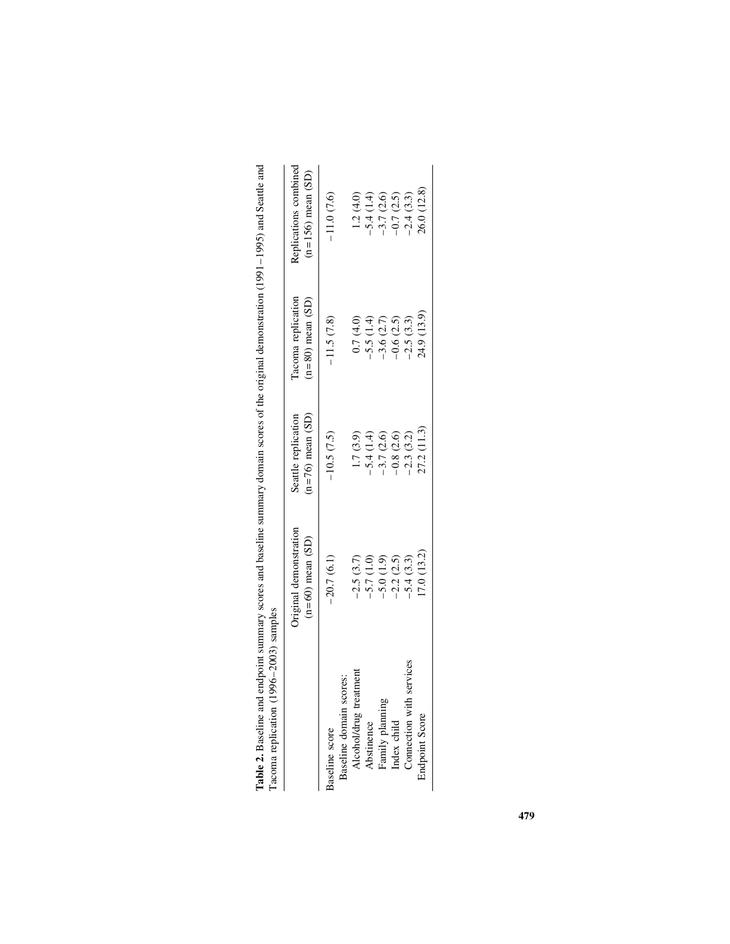|                                                   | Original demonstration<br>$(n=60)$ mean $(SD)$ | $(n=76)$ mean $(SD)$<br>Seattle replication | Tacoma replication<br>$(n=80)$ mean $(SD)$ | Replications combined<br>$(n=156)$ mean $(SD)$ |
|---------------------------------------------------|------------------------------------------------|---------------------------------------------|--------------------------------------------|------------------------------------------------|
| Baseline score                                    | $-20.7(6.1)$                                   | $-10.5(7.5)$                                | $-11.5(7.8)$                               | $-11.0(7.6)$                                   |
| Alcohol/drug treatment<br>Baseline domain scores: | $-2.5(3.7)$                                    | 1.7(3.9)                                    | 0.7(4.0)                                   | 1.2(4.0)                                       |
| Abstinence                                        | $-5.7(1.0)$                                    | $-5.4(1.4)$                                 | $-5.5(1.4)$                                | $-5.4(1.4)$                                    |
| Family planning                                   | $-5.0(1.9)$                                    | $-3.7(2.6)$                                 | $-3.6(2.7)$                                | $-3.7(2.6)$                                    |
| Index child                                       | $-2.2(2.5)$                                    | $-0.8(2.6)$                                 | $-0.6(2.5)$                                | $-0.7(2.5)$                                    |
| Connection with services                          | $-5.4(3.3)$                                    | $-2.3(3.2)$                                 | $-2.5(3.3)$                                | $-2.4(3.3)$                                    |
| <b>Endpoint Score</b>                             | (7.0 (13.2)                                    | 27.2 (11.3)                                 | 24.9 (13.9)                                | 26.0 (12.8)                                    |

| $\ddot{\phantom{a}}$<br>Ì<br>i                                                                                                                                                                                                 |               |
|--------------------------------------------------------------------------------------------------------------------------------------------------------------------------------------------------------------------------------|---------------|
| i<br>CCC<br>Í<br>l                                                                                                                                                                                                             |               |
|                                                                                                                                                                                                                                |               |
| the contractor of the contractor of the contractor of the contractor of the contractor of the contractor of the contractor of the contractor of the contractor of the contractor of the contractor of the contractor of the co |               |
|                                                                                                                                                                                                                                |               |
| <b>CONCOC STORECT INTO</b>                                                                                                                                                                                                     |               |
|                                                                                                                                                                                                                                |               |
| こくじょう ちょう                                                                                                                                                                                                                      |               |
| <b>ACCO INTERFERENCE HERE</b>                                                                                                                                                                                                  |               |
| j<br>م<br>م                                                                                                                                                                                                                    | $\frac{1}{2}$ |
| J<br>I                                                                                                                                                                                                                         | i             |
| Tahle 2                                                                                                                                                                                                                        | j<br>l        |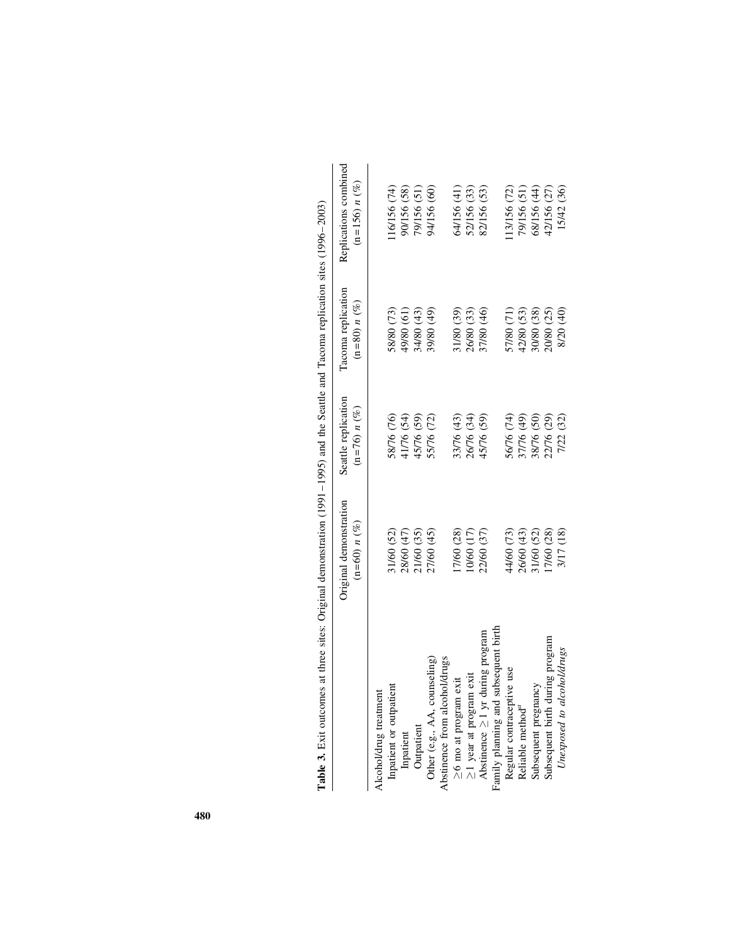| <b>Table 3.</b> Exit outcomes at three sites: Original demonstration (1991–1992) and the Seattle and Tacoma replication sites (1996–2003) |                                          |                                       |                                      |                                          |
|-------------------------------------------------------------------------------------------------------------------------------------------|------------------------------------------|---------------------------------------|--------------------------------------|------------------------------------------|
|                                                                                                                                           | Original demonstration<br>$(n=60) n (%)$ | Seattle replication<br>$(n=76) n (%)$ | Tacoma replication<br>$(n=80) n (%)$ | Replications combined<br>$(n=156) n$ (%) |
| Alcohol/drug treatment                                                                                                                    |                                          |                                       |                                      |                                          |
| Inpatient or outpatient                                                                                                                   | 31/60 (52)                               | 58/76 (76)                            | 58/80 (73)                           | 16/156(74)                               |
| Inpatient                                                                                                                                 | 28/60 (47)                               | 41/76 (54)                            | (19) 08/67                           | 90/156 (58)                              |
| Outpatient                                                                                                                                | 21/60 (35)                               | 45/76 (59)                            | 34/80 (43)                           | 79/156 (51)                              |
| Other (e.g., AA, counseling)                                                                                                              | 27/60 (45)                               | 55/76 (72)                            | 39/80 (49)                           | 94/156 (60)                              |
| Abstinence from alcohol/drugs                                                                                                             |                                          |                                       |                                      |                                          |
| exit<br>$\geq$ 6 mo at program                                                                                                            | [7/60 (28)                               | 33/76 (43)                            | 31/80 (39)                           | 64/156 (41)                              |
| exit<br>$\geq$ 1 year at program                                                                                                          | (17) 19/01                               | 26/76 (34)                            | 26/80 (33)                           | 52/156 (33)                              |
| Abstinence $\geq$ 1 yr during program                                                                                                     | 22/60 (37)                               | 45/76 (59)                            | 37/80 (46)                           | 82/156 (53)                              |
| Family planning and subsequent birth                                                                                                      |                                          |                                       |                                      |                                          |
| Regular contraceptive use                                                                                                                 | 44/60 (73)                               | 56/76 (74)                            | 57/80 (71)                           | 13/156 (72)                              |
| Reliable method <sup>a</sup>                                                                                                              | 26/60 (43)                               | 37/76 (49)                            | 42/80 (53)                           | 79/156 (51)                              |
| Subsequent pregnancy                                                                                                                      | 31/60 (52)                               | 38/76 (50)                            | 30/80 (38)                           | 68/156 (44)                              |
| Subsequent birth during program                                                                                                           | 17/60 (28)                               | 22/76 (29)                            | 20/80 (25)                           | 42/156 (27)                              |
| Unexposed to alcohol/drugs                                                                                                                | 3/17 (18)                                | 7/22 (32)                             | 8/20 (40)                            | 15/42 (36)                               |

 $(1006, 2001)$ Table 3. Exit outcomes at three sites: Original demonstration (1991–1995) and the Seattle and Tacoma replication sites (1996–2003) ÷, ÷  $\mathsf{F}_q$ ů  $1005$  $1001$  $\frac{4}{1}$ J. Ċ Ê  $F_{\mathbf{v},i}$  $\ddot{\phantom{0}}$ É  $\mathbb{F}_3$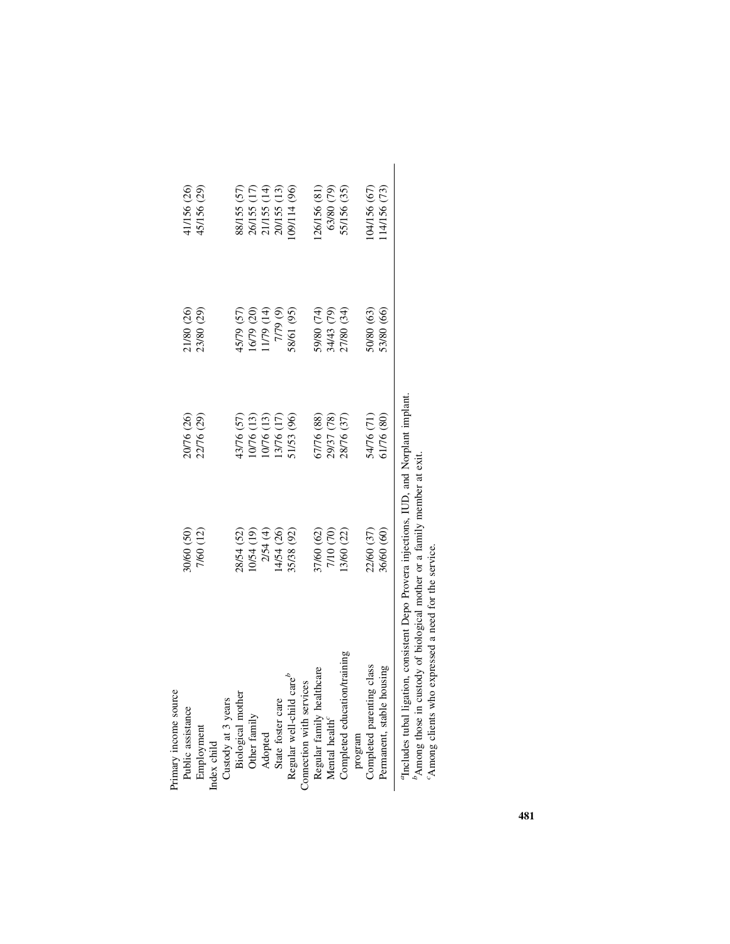| Primary income source                                                                   |            |            |            |              |
|-----------------------------------------------------------------------------------------|------------|------------|------------|--------------|
| Public assistance                                                                       | 30/60 (50) | 20/76 (26) | 21/80 (26) | 41/156 (26)  |
| Employment                                                                              | 7/60 (12)  | 22/76 (29) | 23/80 (29) | 45/156 (29)  |
| Index child                                                                             |            |            |            |              |
| Custody at 3 years                                                                      |            |            |            |              |
| Biological mother                                                                       | 28/54 (52) | 43/76 (57) | 45/79 (57) | 88/155 (57)  |
| Other family                                                                            | (0/54(19)) | 10/76 (13) | 16/79 (20) | 26/155 (17)  |
| Adopted                                                                                 | 2/54 (4)   | (13)       | (14) 6/11  | 21/155 (14)  |
| State foster care                                                                       | 14/54 (26) | 13/76 (17) | 7/79 (9)   | 20/155 (13)  |
| $\text{care}^b$<br>Regular well-child                                                   | 35/38 (92) | 51/53 (96) | 58/61 (95) | 09/114 (96)  |
| Connection with services                                                                |            |            |            |              |
| Regular family healthcare                                                               | 37/60 (62) | 57/76 (88) | 59/80 (74) | 26/156 (81)  |
| Mental health <sup>c</sup>                                                              | 7/10 (70)  | 29/37 (78) | 34/43 (79) | 63/80 (79)   |
| Completed education/training                                                            | 13/60 (22) | 28/76 (37) | 27/80 (34) | 55/156 (35)  |
| program                                                                                 |            |            |            |              |
| Completed parenting class                                                               | 22/60 (37) | 54/76 (71) | 50/80 (63) | (04/156 (67) |
| Permanent, stable housing                                                               | 36/60 (60) | 51/76 (80) | 53/80 (66) | 14/156 (73)  |
| "Includes tubal ligation, consistent Depo Provera injections, IUD, and Norplant implant |            |            |            |              |

<sup>b</sup>Among those in custody of biological mother or a family member at extication g clients who expressed a need for the service. bAmong those in custody of biological mother or a family member at exit.

cAmong clients who expressed a need for the service.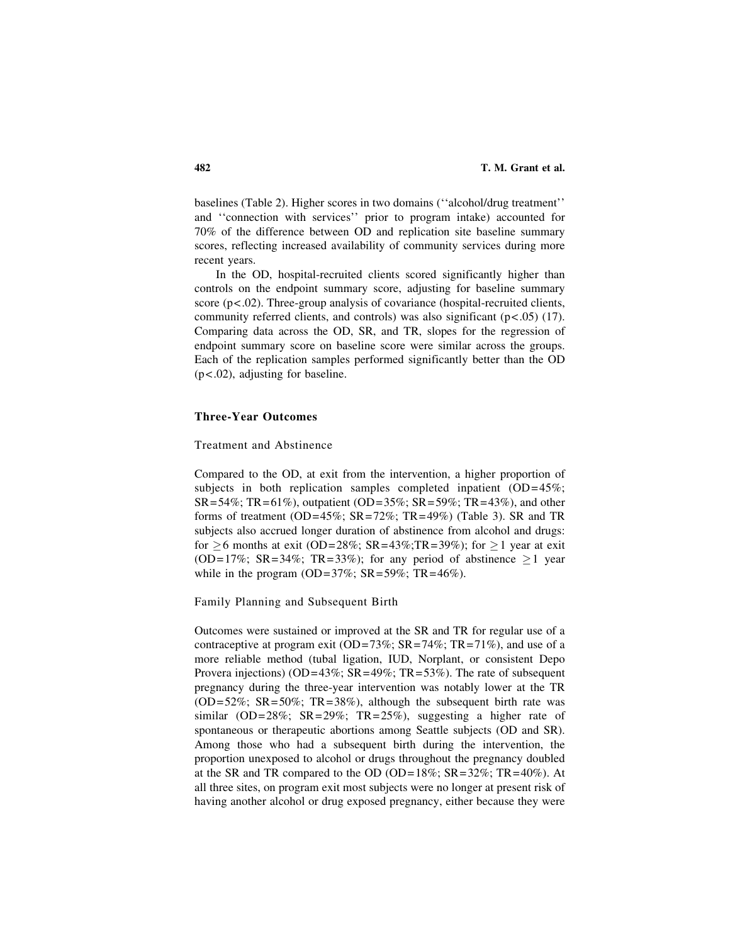baselines (Table 2). Higher scores in two domains (''alcohol/drug treatment'' and ''connection with services'' prior to program intake) accounted for 70% of the difference between OD and replication site baseline summary scores, reflecting increased availability of community services during more recent years.

In the OD, hospital-recruited clients scored significantly higher than controls on the endpoint summary score, adjusting for baseline summary score  $(p<.02)$ . Three-group analysis of covariance (hospital-recruited clients, community referred clients, and controls) was also significant  $(p<.05)$  (17). Comparing data across the OD, SR, and TR, slopes for the regression of endpoint summary score on baseline score were similar across the groups. Each of the replication samples performed significantly better than the OD (p<.02), adjusting for baseline.

#### Three-Year Outcomes

Treatment and Abstinence

Compared to the OD, at exit from the intervention, a higher proportion of subjects in both replication samples completed inpatient (OD=45%;  $SR = 54\%$ ; TR=61%), outpatient (OD=35%; SR=59%; TR=43%), and other forms of treatment (OD=45%;  $SR = 72\%$ ;  $TR = 49\%$ ) (Table 3). SR and TR subjects also accrued longer duration of abstinence from alcohol and drugs: for  $\geq$  6 months at exit (OD=28%; SR=43%;TR=39%); for  $\geq$  1 year at exit (OD=17%; SR=34%; TR=33%); for any period of abstinence  $>1$  year while in the program (OD=37%;  $SR = 59\%$ ;  $TR = 46\%$ ).

Family Planning and Subsequent Birth

Outcomes were sustained or improved at the SR and TR for regular use of a contraceptive at program exit (OD=73%;  $SR = 74\%$ ;  $TR = 71\%$ ), and use of a more reliable method (tubal ligation, IUD, Norplant, or consistent Depo Provera injections) (OD=43%;  $SR=49\%$ ;  $TR=53\%$ ). The rate of subsequent pregnancy during the three-year intervention was notably lower at the TR  $(OD=52\%; SR=50\%; TR=38\%), although the subsequent birth rate was$ similar (OD=28%; SR=29%; TR=25%), suggesting a higher rate of spontaneous or therapeutic abortions among Seattle subjects (OD and SR). Among those who had a subsequent birth during the intervention, the proportion unexposed to alcohol or drugs throughout the pregnancy doubled at the SR and TR compared to the OD (OD=18%;  $SR = 32\%$ ;  $TR = 40\%$ ). At all three sites, on program exit most subjects were no longer at present risk of having another alcohol or drug exposed pregnancy, either because they were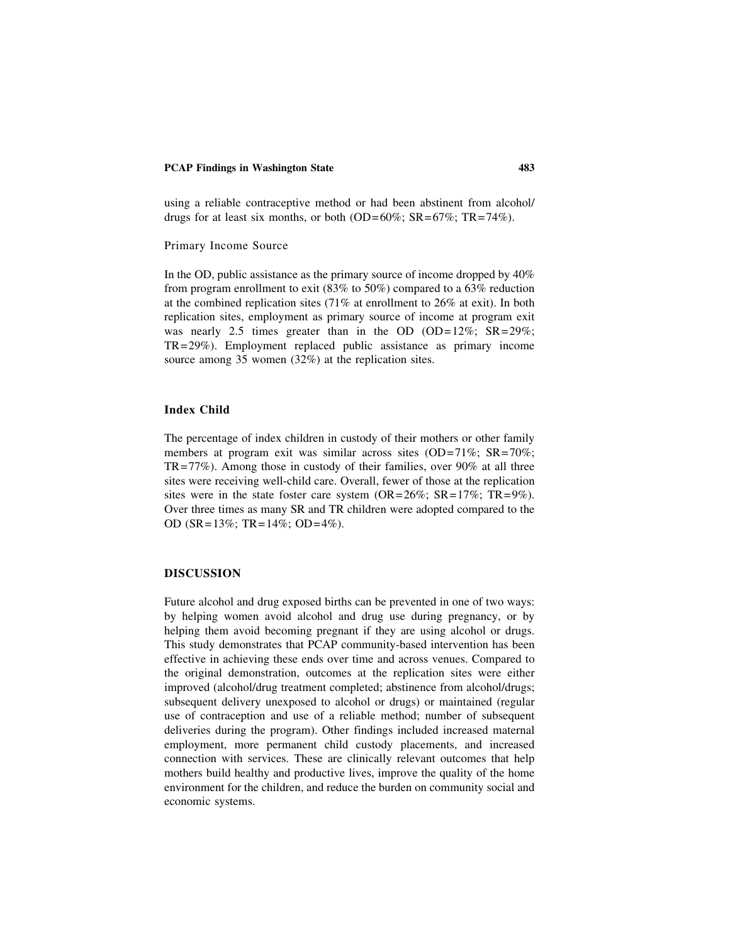using a reliable contraceptive method or had been abstinent from alcohol/ drugs for at least six months, or both (OD=60%;  $SR = 67\%$ ;  $TR = 74\%$ ).

#### Primary Income Source

In the OD, public assistance as the primary source of income dropped by 40% from program enrollment to exit (83% to 50%) compared to a 63% reduction at the combined replication sites (71% at enrollment to 26% at exit). In both replication sites, employment as primary source of income at program exit was nearly 2.5 times greater than in the OD (OD=12%;  $SR = 29\%$ ; TR=29%). Employment replaced public assistance as primary income source among 35 women (32%) at the replication sites.

## Index Child

The percentage of index children in custody of their mothers or other family members at program exit was similar across sites (OD=71%; SR=70%; TR=77%). Among those in custody of their families, over 90% at all three sites were receiving well-child care. Overall, fewer of those at the replication sites were in the state foster care system  $(OR=26\%; SR=17\%; TR=9\%).$ Over three times as many SR and TR children were adopted compared to the OD (SR=13%; TR=14%; OD=4%).

#### DISCUSSION

Future alcohol and drug exposed births can be prevented in one of two ways: by helping women avoid alcohol and drug use during pregnancy, or by helping them avoid becoming pregnant if they are using alcohol or drugs. This study demonstrates that PCAP community-based intervention has been effective in achieving these ends over time and across venues. Compared to the original demonstration, outcomes at the replication sites were either improved (alcohol/drug treatment completed; abstinence from alcohol/drugs; subsequent delivery unexposed to alcohol or drugs) or maintained (regular use of contraception and use of a reliable method; number of subsequent deliveries during the program). Other findings included increased maternal employment, more permanent child custody placements, and increased connection with services. These are clinically relevant outcomes that help mothers build healthy and productive lives, improve the quality of the home environment for the children, and reduce the burden on community social and economic systems.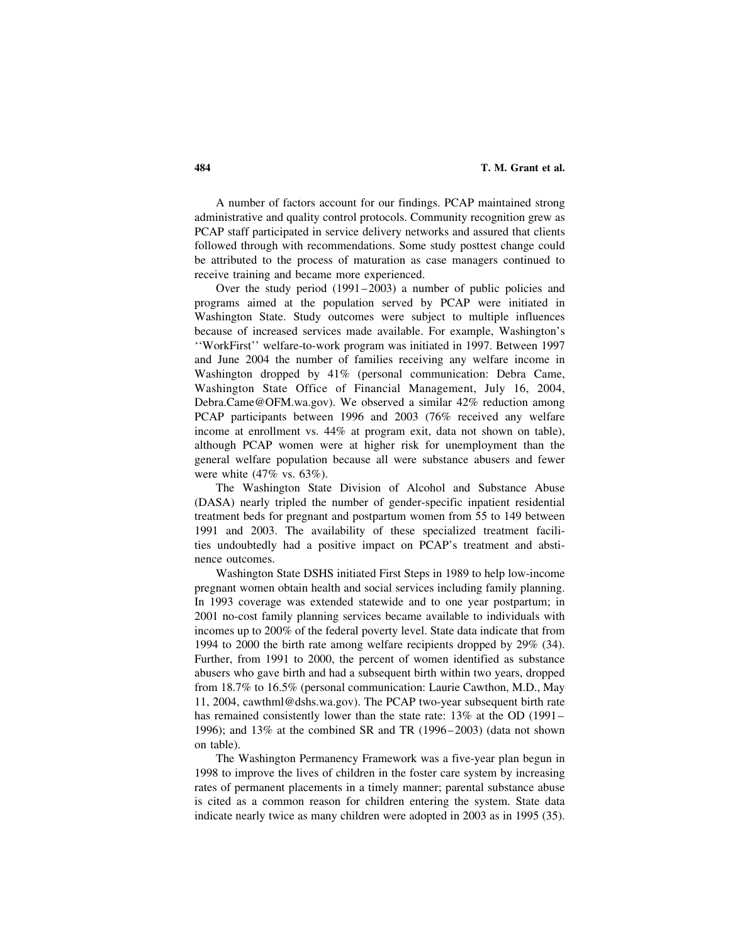A number of factors account for our findings. PCAP maintained strong administrative and quality control protocols. Community recognition grew as PCAP staff participated in service delivery networks and assured that clients followed through with recommendations. Some study posttest change could be attributed to the process of maturation as case managers continued to receive training and became more experienced.

Over the study period (1991–2003) a number of public policies and programs aimed at the population served by PCAP were initiated in Washington State. Study outcomes were subject to multiple influences because of increased services made available. For example, Washington's ''WorkFirst'' welfare-to-work program was initiated in 1997. Between 1997 and June 2004 the number of families receiving any welfare income in Washington dropped by 41% (personal communication: Debra Came, Washington State Office of Financial Management, July 16, 2004, Debra.Came@OFM.wa.gov). We observed a similar 42% reduction among PCAP participants between 1996 and 2003 (76% received any welfare income at enrollment vs. 44% at program exit, data not shown on table), although PCAP women were at higher risk for unemployment than the general welfare population because all were substance abusers and fewer were white (47% vs. 63%).

The Washington State Division of Alcohol and Substance Abuse (DASA) nearly tripled the number of gender-specific inpatient residential treatment beds for pregnant and postpartum women from 55 to 149 between 1991 and 2003. The availability of these specialized treatment facilities undoubtedly had a positive impact on PCAP's treatment and abstinence outcomes.

Washington State DSHS initiated First Steps in 1989 to help low-income pregnant women obtain health and social services including family planning. In 1993 coverage was extended statewide and to one year postpartum; in 2001 no-cost family planning services became available to individuals with incomes up to 200% of the federal poverty level. State data indicate that from 1994 to 2000 the birth rate among welfare recipients dropped by 29% (34). Further, from 1991 to 2000, the percent of women identified as substance abusers who gave birth and had a subsequent birth within two years, dropped from 18.7% to 16.5% (personal communication: Laurie Cawthon, M.D., May 11, 2004, cawthml@dshs.wa.gov). The PCAP two-year subsequent birth rate has remained consistently lower than the state rate: 13% at the OD (1991– 1996); and 13% at the combined SR and TR (1996–2003) (data not shown on table).

The Washington Permanency Framework was a five-year plan begun in 1998 to improve the lives of children in the foster care system by increasing rates of permanent placements in a timely manner; parental substance abuse is cited as a common reason for children entering the system. State data indicate nearly twice as many children were adopted in 2003 as in 1995 (35).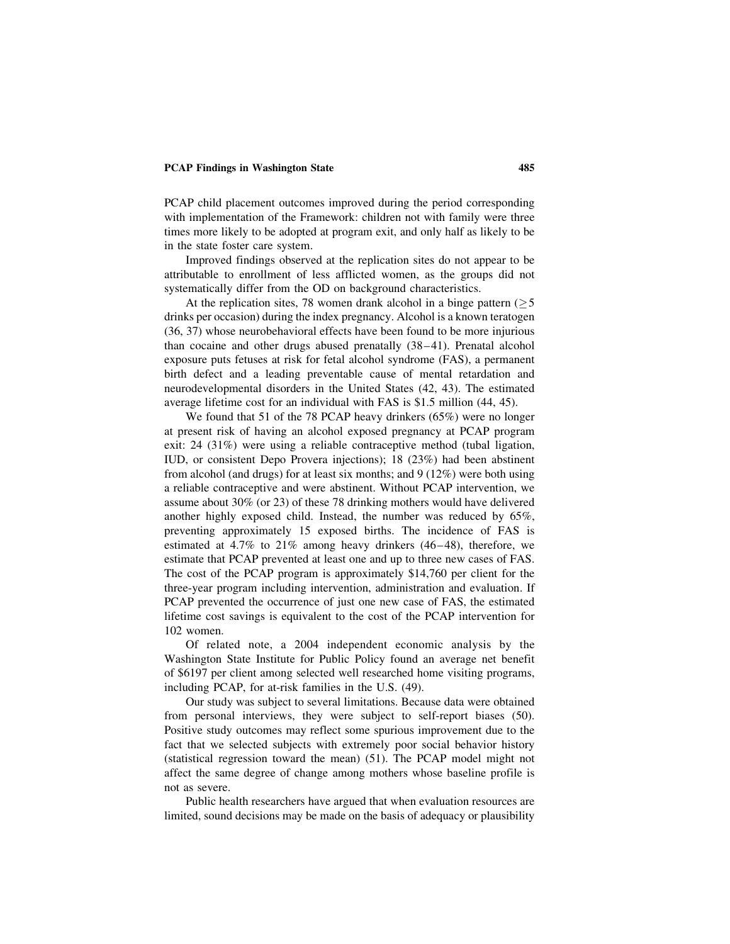PCAP child placement outcomes improved during the period corresponding with implementation of the Framework: children not with family were three times more likely to be adopted at program exit, and only half as likely to be in the state foster care system.

Improved findings observed at the replication sites do not appear to be attributable to enrollment of less afflicted women, as the groups did not systematically differ from the OD on background characteristics.

At the replication sites, 78 women drank alcohol in a binge pattern  $(55$ drinks per occasion) during the index pregnancy. Alcohol is a known teratogen (36, 37) whose neurobehavioral effects have been found to be more injurious than cocaine and other drugs abused prenatally (38–41). Prenatal alcohol exposure puts fetuses at risk for fetal alcohol syndrome (FAS), a permanent birth defect and a leading preventable cause of mental retardation and neurodevelopmental disorders in the United States (42, 43). The estimated average lifetime cost for an individual with FAS is \$1.5 million (44, 45).

We found that 51 of the 78 PCAP heavy drinkers (65%) were no longer at present risk of having an alcohol exposed pregnancy at PCAP program exit: 24 (31%) were using a reliable contraceptive method (tubal ligation, IUD, or consistent Depo Provera injections); 18 (23%) had been abstinent from alcohol (and drugs) for at least six months; and 9 (12%) were both using a reliable contraceptive and were abstinent. Without PCAP intervention, we assume about 30% (or 23) of these 78 drinking mothers would have delivered another highly exposed child. Instead, the number was reduced by 65%, preventing approximately 15 exposed births. The incidence of FAS is estimated at 4.7% to 21% among heavy drinkers (46–48), therefore, we estimate that PCAP prevented at least one and up to three new cases of FAS. The cost of the PCAP program is approximately \$14,760 per client for the three-year program including intervention, administration and evaluation. If PCAP prevented the occurrence of just one new case of FAS, the estimated lifetime cost savings is equivalent to the cost of the PCAP intervention for 102 women.

Of related note, a 2004 independent economic analysis by the Washington State Institute for Public Policy found an average net benefit of \$6197 per client among selected well researched home visiting programs, including PCAP, for at-risk families in the U.S. (49).

Our study was subject to several limitations. Because data were obtained from personal interviews, they were subject to self-report biases (50). Positive study outcomes may reflect some spurious improvement due to the fact that we selected subjects with extremely poor social behavior history (statistical regression toward the mean) (51). The PCAP model might not affect the same degree of change among mothers whose baseline profile is not as severe.

Public health researchers have argued that when evaluation resources are limited, sound decisions may be made on the basis of adequacy or plausibility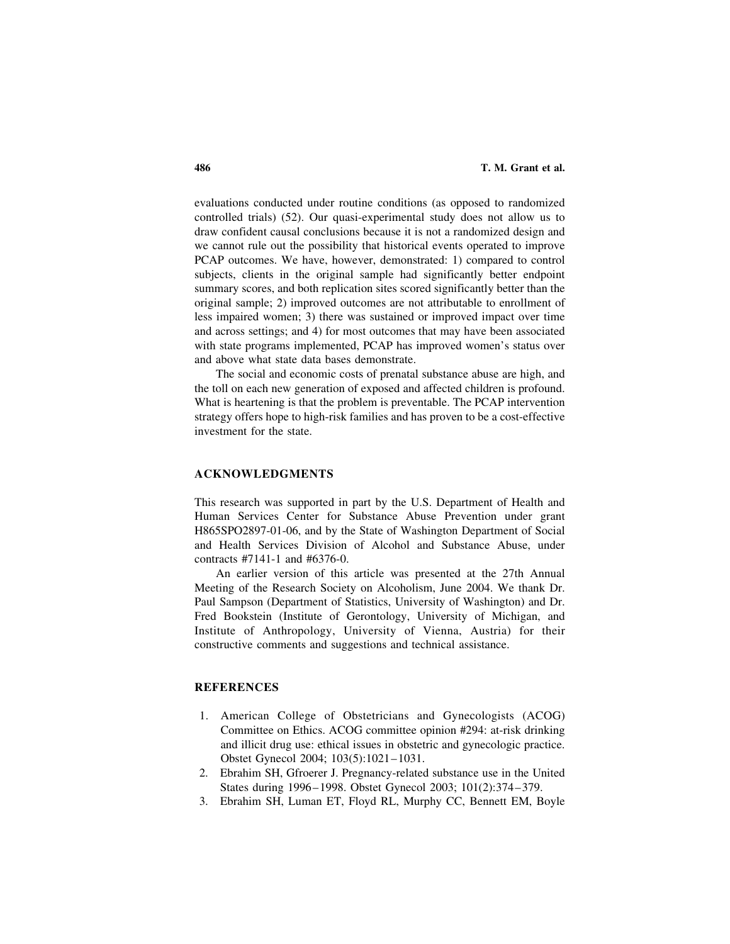evaluations conducted under routine conditions (as opposed to randomized controlled trials) (52). Our quasi-experimental study does not allow us to draw confident causal conclusions because it is not a randomized design and we cannot rule out the possibility that historical events operated to improve PCAP outcomes. We have, however, demonstrated: 1) compared to control subjects, clients in the original sample had significantly better endpoint summary scores, and both replication sites scored significantly better than the original sample; 2) improved outcomes are not attributable to enrollment of less impaired women; 3) there was sustained or improved impact over time and across settings; and 4) for most outcomes that may have been associated with state programs implemented, PCAP has improved women's status over and above what state data bases demonstrate.

The social and economic costs of prenatal substance abuse are high, and the toll on each new generation of exposed and affected children is profound. What is heartening is that the problem is preventable. The PCAP intervention strategy offers hope to high-risk families and has proven to be a cost-effective investment for the state.

## ACKNOWLEDGMENTS

This research was supported in part by the U.S. Department of Health and Human Services Center for Substance Abuse Prevention under grant H865SPO2897-01-06, and by the State of Washington Department of Social and Health Services Division of Alcohol and Substance Abuse, under contracts #7141-1 and #6376-0.

An earlier version of this article was presented at the 27th Annual Meeting of the Research Society on Alcoholism, June 2004. We thank Dr. Paul Sampson (Department of Statistics, University of Washington) and Dr. Fred Bookstein (Institute of Gerontology, University of Michigan, and Institute of Anthropology, University of Vienna, Austria) for their constructive comments and suggestions and technical assistance.

## **REFERENCES**

- 1. American College of Obstetricians and Gynecologists (ACOG) Committee on Ethics. ACOG committee opinion #294: at-risk drinking and illicit drug use: ethical issues in obstetric and gynecologic practice. Obstet Gynecol 2004; 103(5):1021–1031.
- 2. Ebrahim SH, Gfroerer J. Pregnancy-related substance use in the United States during 1996–1998. Obstet Gynecol 2003; 101(2):374–379.
- 3. Ebrahim SH, Luman ET, Floyd RL, Murphy CC, Bennett EM, Boyle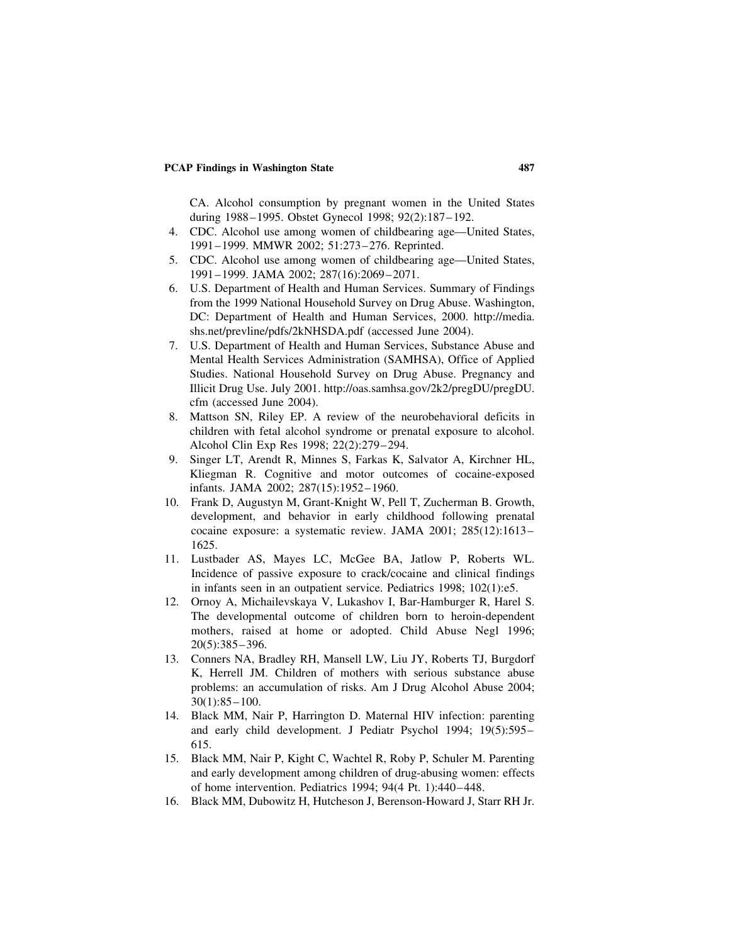CA. Alcohol consumption by pregnant women in the United States during 1988–1995. Obstet Gynecol 1998; 92(2):187–192.

- 4. CDC. Alcohol use among women of childbearing age—United States, 1991–1999. MMWR 2002; 51:273–276. Reprinted.
- 5. CDC. Alcohol use among women of childbearing age—United States, 1991–1999. JAMA 2002; 287(16):2069–2071.
- 6. U.S. Department of Health and Human Services. Summary of Findings from the 1999 National Household Survey on Drug Abuse. Washington, DC: Department of Health and Human Services, 2000. http://media. shs.net/prevline/pdfs/2kNHSDA.pdf (accessed June 2004).
- 7. U.S. Department of Health and Human Services, Substance Abuse and Mental Health Services Administration (SAMHSA), Office of Applied Studies. National Household Survey on Drug Abuse. Pregnancy and Illicit Drug Use. July 2001. http://oas.samhsa.gov/2k2/pregDU/pregDU. cfm (accessed June 2004).
- 8. Mattson SN, Riley EP. A review of the neurobehavioral deficits in children with fetal alcohol syndrome or prenatal exposure to alcohol. Alcohol Clin Exp Res 1998; 22(2):279–294.
- 9. Singer LT, Arendt R, Minnes S, Farkas K, Salvator A, Kirchner HL, Kliegman R. Cognitive and motor outcomes of cocaine-exposed infants. JAMA 2002; 287(15):1952–1960.
- 10. Frank D, Augustyn M, Grant-Knight W, Pell T, Zucherman B. Growth, development, and behavior in early childhood following prenatal cocaine exposure: a systematic review. JAMA 2001; 285(12):1613– 1625.
- 11. Lustbader AS, Mayes LC, McGee BA, Jatlow P, Roberts WL. Incidence of passive exposure to crack/cocaine and clinical findings in infants seen in an outpatient service. Pediatrics 1998; 102(1):e5.
- 12. Ornoy A, Michailevskaya V, Lukashov I, Bar-Hamburger R, Harel S. The developmental outcome of children born to heroin-dependent mothers, raised at home or adopted. Child Abuse Negl 1996; 20(5):385–396.
- 13. Conners NA, Bradley RH, Mansell LW, Liu JY, Roberts TJ, Burgdorf K, Herrell JM. Children of mothers with serious substance abuse problems: an accumulation of risks. Am J Drug Alcohol Abuse 2004; 30(1):85–100.
- 14. Black MM, Nair P, Harrington D. Maternal HIV infection: parenting and early child development. J Pediatr Psychol 1994; 19(5):595– 615.
- 15. Black MM, Nair P, Kight C, Wachtel R, Roby P, Schuler M. Parenting and early development among children of drug-abusing women: effects of home intervention. Pediatrics 1994; 94(4 Pt. 1):440–448.
- 16. Black MM, Dubowitz H, Hutcheson J, Berenson-Howard J, Starr RH Jr.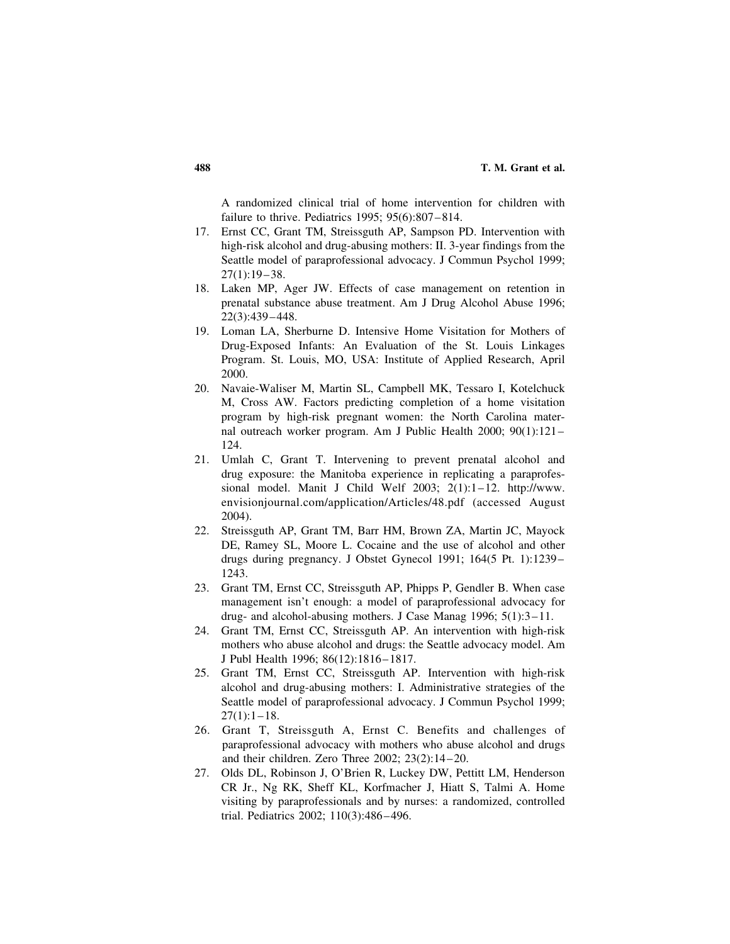A randomized clinical trial of home intervention for children with failure to thrive. Pediatrics 1995; 95(6):807–814.

- 17. Ernst CC, Grant TM, Streissguth AP, Sampson PD. Intervention with high-risk alcohol and drug-abusing mothers: II. 3-year findings from the Seattle model of paraprofessional advocacy. J Commun Psychol 1999; 27(1):19–38.
- 18. Laken MP, Ager JW. Effects of case management on retention in prenatal substance abuse treatment. Am J Drug Alcohol Abuse 1996; 22(3):439–448.
- 19. Loman LA, Sherburne D. Intensive Home Visitation for Mothers of Drug-Exposed Infants: An Evaluation of the St. Louis Linkages Program. St. Louis, MO, USA: Institute of Applied Research, April 2000.
- 20. Navaie-Waliser M, Martin SL, Campbell MK, Tessaro I, Kotelchuck M, Cross AW. Factors predicting completion of a home visitation program by high-risk pregnant women: the North Carolina maternal outreach worker program. Am J Public Health 2000; 90(1):121– 124.
- 21. Umlah C, Grant T. Intervening to prevent prenatal alcohol and drug exposure: the Manitoba experience in replicating a paraprofessional model. Manit J Child Welf 2003; 2(1):1–12. http://www. envisionjournal.com/application/Articles/48.pdf (accessed August 2004).
- 22. Streissguth AP, Grant TM, Barr HM, Brown ZA, Martin JC, Mayock DE, Ramey SL, Moore L. Cocaine and the use of alcohol and other drugs during pregnancy. J Obstet Gynecol 1991; 164(5 Pt. 1):1239– 1243.
- 23. Grant TM, Ernst CC, Streissguth AP, Phipps P, Gendler B. When case management isn't enough: a model of paraprofessional advocacy for drug- and alcohol-abusing mothers. J Case Manag 1996; 5(1):3–11.
- 24. Grant TM, Ernst CC, Streissguth AP. An intervention with high-risk mothers who abuse alcohol and drugs: the Seattle advocacy model. Am J Publ Health 1996; 86(12):1816–1817.
- 25. Grant TM, Ernst CC, Streissguth AP. Intervention with high-risk alcohol and drug-abusing mothers: I. Administrative strategies of the Seattle model of paraprofessional advocacy. J Commun Psychol 1999;  $27(1):1-18.$
- 26. Grant T, Streissguth A, Ernst C. Benefits and challenges of paraprofessional advocacy with mothers who abuse alcohol and drugs and their children. Zero Three 2002; 23(2):14–20.
- 27. Olds DL, Robinson J, O'Brien R, Luckey DW, Pettitt LM, Henderson CR Jr., Ng RK, Sheff KL, Korfmacher J, Hiatt S, Talmi A. Home visiting by paraprofessionals and by nurses: a randomized, controlled trial. Pediatrics 2002; 110(3):486–496.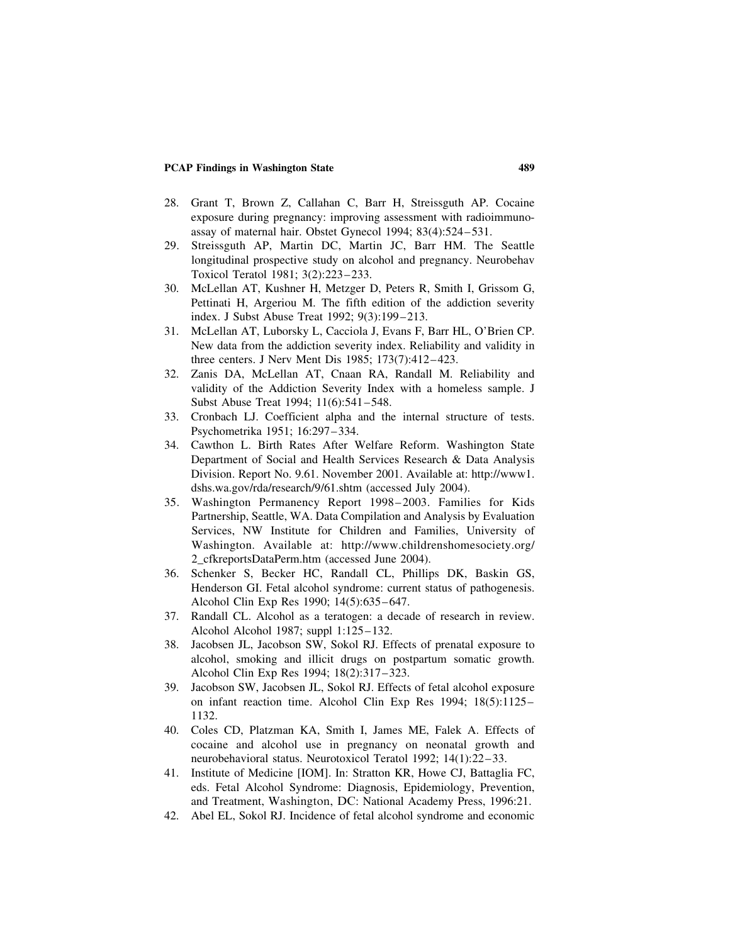- 28. Grant T, Brown Z, Callahan C, Barr H, Streissguth AP. Cocaine exposure during pregnancy: improving assessment with radioimmunoassay of maternal hair. Obstet Gynecol 1994; 83(4):524–531.
- 29. Streissguth AP, Martin DC, Martin JC, Barr HM. The Seattle longitudinal prospective study on alcohol and pregnancy. Neurobehav Toxicol Teratol 1981; 3(2):223–233.
- 30. McLellan AT, Kushner H, Metzger D, Peters R, Smith I, Grissom G, Pettinati H, Argeriou M. The fifth edition of the addiction severity index. J Subst Abuse Treat 1992; 9(3):199–213.
- 31. McLellan AT, Luborsky L, Cacciola J, Evans F, Barr HL, O'Brien CP. New data from the addiction severity index. Reliability and validity in three centers. J Nerv Ment Dis 1985; 173(7):412–423.
- 32. Zanis DA, McLellan AT, Cnaan RA, Randall M. Reliability and validity of the Addiction Severity Index with a homeless sample. J Subst Abuse Treat 1994; 11(6):541–548.
- 33. Cronbach LJ. Coefficient alpha and the internal structure of tests. Psychometrika 1951; 16:297–334.
- 34. Cawthon L. Birth Rates After Welfare Reform. Washington State Department of Social and Health Services Research & Data Analysis Division. Report No. 9.61. November 2001. Available at: http://www1. dshs.wa.gov/rda/research/9/61.shtm (accessed July 2004).
- 35. Washington Permanency Report 1998–2003. Families for Kids Partnership, Seattle, WA. Data Compilation and Analysis by Evaluation Services, NW Institute for Children and Families, University of Washington. Available at: http://www.childrenshomesociety.org/ 2\_cfkreportsDataPerm.htm (accessed June 2004).
- 36. Schenker S, Becker HC, Randall CL, Phillips DK, Baskin GS, Henderson GI. Fetal alcohol syndrome: current status of pathogenesis. Alcohol Clin Exp Res 1990; 14(5):635–647.
- 37. Randall CL. Alcohol as a teratogen: a decade of research in review. Alcohol Alcohol 1987; suppl 1:125–132.
- 38. Jacobsen JL, Jacobson SW, Sokol RJ. Effects of prenatal exposure to alcohol, smoking and illicit drugs on postpartum somatic growth. Alcohol Clin Exp Res 1994; 18(2):317–323.
- 39. Jacobson SW, Jacobsen JL, Sokol RJ. Effects of fetal alcohol exposure on infant reaction time. Alcohol Clin Exp Res 1994; 18(5):1125– 1132.
- 40. Coles CD, Platzman KA, Smith I, James ME, Falek A. Effects of cocaine and alcohol use in pregnancy on neonatal growth and neurobehavioral status. Neurotoxicol Teratol 1992; 14(1):22–33.
- 41. Institute of Medicine [IOM]. In: Stratton KR, Howe CJ, Battaglia FC, eds. Fetal Alcohol Syndrome: Diagnosis, Epidemiology, Prevention, and Treatment, Washington, DC: National Academy Press, 1996:21.
- 42. Abel EL, Sokol RJ. Incidence of fetal alcohol syndrome and economic